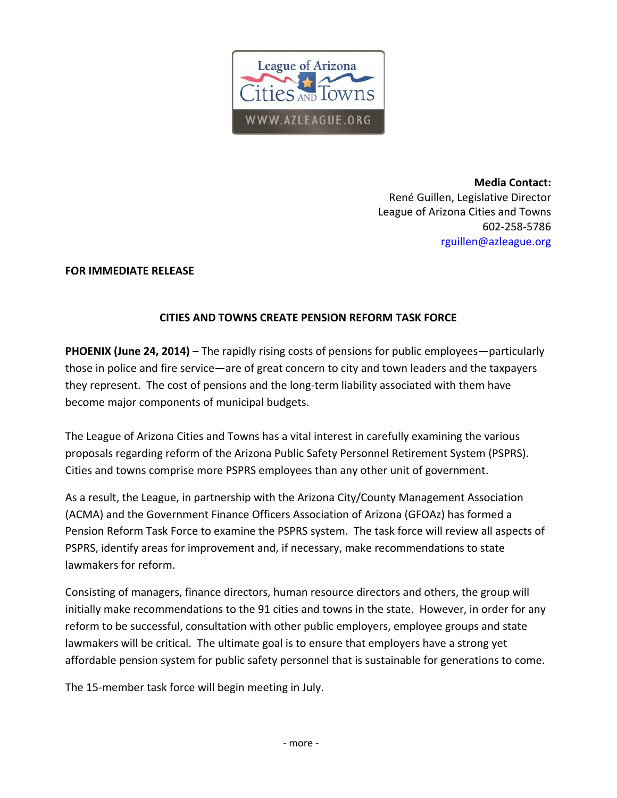

**Media Contact:** René Guillen, Legislative Director League of Arizona Cities and Towns 602‐258‐5786 rguillen@azleague.org

## **FOR IMMEDIATE RELEASE**

## **CITIES AND TOWNS CREATE PENSION REFORM TASK FORCE**

**PHOENIX (June 24, 2014)** – The rapidly rising costs of pensions for public employees—particularly those in police and fire service—are of great concern to city and town leaders and the taxpayers they represent. The cost of pensions and the long‐term liability associated with them have become major components of municipal budgets.

The League of Arizona Cities and Towns has a vital interest in carefully examining the various proposals regarding reform of the Arizona Public Safety Personnel Retirement System (PSPRS). Cities and towns comprise more PSPRS employees than any other unit of government.

As a result, the League, in partnership with the Arizona City/County Management Association (ACMA) and the Government Finance Officers Association of Arizona (GFOAz) has formed a Pension Reform Task Force to examine the PSPRS system. The task force will review all aspects of PSPRS, identify areas for improvement and, if necessary, make recommendations to state lawmakers for reform.

Consisting of managers, finance directors, human resource directors and others, the group will initially make recommendations to the 91 cities and towns in the state. However, in order for any reform to be successful, consultation with other public employers, employee groups and state lawmakers will be critical. The ultimate goal is to ensure that employers have a strong yet affordable pension system for public safety personnel that is sustainable for generations to come.

The 15-member task force will begin meeting in July.